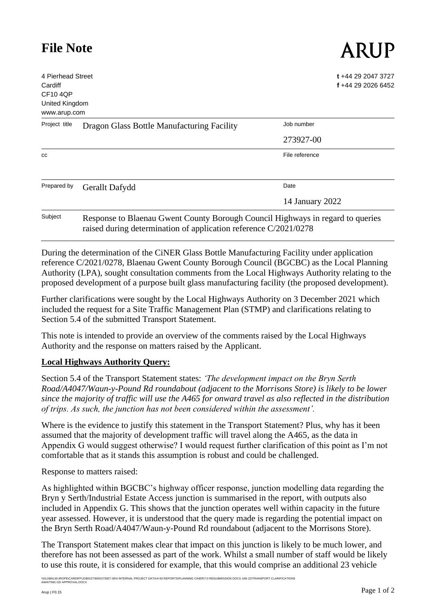# **File Note**

4 Pierhead Street Cardiff CF10 4QP United Kingdom www.arup.com **t** +44 29 2047 3727 **f** +44 29 2026 6452 Project title Dragon Glass Bottle Manufacturing Facility Job number 273927-00 cc **File reference** Prepared by Gerallt Dafydd Date 14 January 2022 Subject Response to Blaenau Gwent County Borough Council Highways in regard to queries

raised during determination of application reference C/2021/0278

During the determination of the CiNER Glass Bottle Manufacturing Facility under application reference C/2021/0278, Blaenau Gwent County Borough Council (BGCBC) as the Local Planning Authority (LPA), sought consultation comments from the Local Highways Authority relating to the proposed development of a purpose built glass manufacturing facility (the proposed development).

Further clarifications were sought by the Local Highways Authority on 3 December 2021 which included the request for a Site Traffic Management Plan (STMP) and clarifications relating to Section 5.4 of the submitted Transport Statement.

This note is intended to provide an overview of the comments raised by the Local Highways Authority and the response on matters raised by the Applicant.

## **Local Highways Authority Query:**

Section 5.4 of the Transport Statement states: *'The development impact on the Bryn Serth Road/A4047/Waun-y-Pound Rd roundabout (adjacent to the Morrisons Store) is likely to be lower since the majority of traffic will use the A465 for onward travel as also reflected in the distribution of trips. As such, the junction has not been considered within the assessment'.*

Where is the evidence to justify this statement in the Transport Statement? Plus, why has it been assumed that the majority of development traffic will travel along the A465, as the data in Appendix G would suggest otherwise? I would request further clarification of this point as I'm not comfortable that as it stands this assumption is robust and could be challenged.

Response to matters raised:

As highlighted within BGCBC's highway officer response, junction modelling data regarding the Bryn y Serth/Industrial Estate Access junction is summarised in the report, with outputs also included in Appendix G. This shows that the junction operates well within capacity in the future year assessed. However, it is understood that the query made is regarding the potential impact on the Bryn Serth Road/A4047/Waun-y-Pound Rd roundabout (adjacent to the Morrisons Store).

The Transport Statement makes clear that impact on this junction is likely to be much lower, and therefore has not been assessed as part of the work. Whilst a small number of staff would be likely to use this route, it is considered for example, that this would comprise an additional 23 vehicle

\GLOBAL\EUROPE\CARDIFF\JOBS\273000\273927-00\4 INTERNAL PROJECT DATA\4-50 REPORTS\PLANNING CINER\7.0 RESUBMISSION DOCS JAN 22\TRANSPORT CLARIFICATIONS<br>AWAITING GD APPROVAL.DOCX